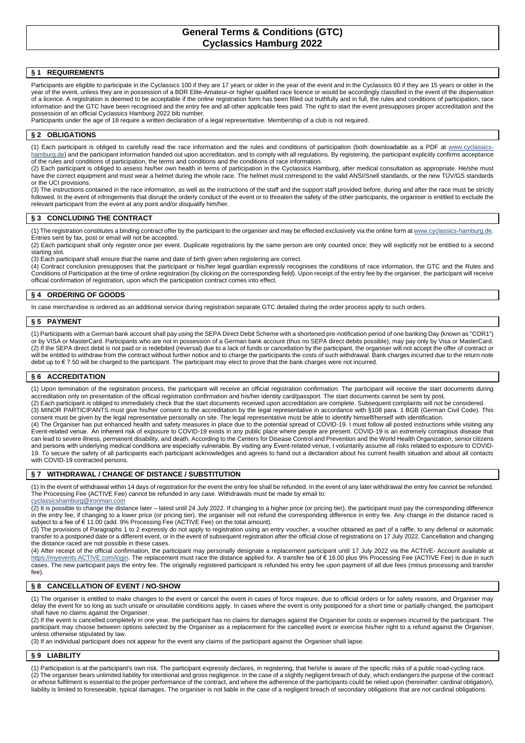# **General Terms & Conditions (GTC) Cyclassics Hamburg 2022**

## **§ 1 REQUIREMENTS**

Participants are eligible to participate in the Cyclassics 100 if they are 17 years or older in the year of the event and in the Cyclassics 60 if they are 15 years or older in the year of the event, unless they are in possession of a BDR Elite-Amateur-or higher qualified race licence or would be accordingly classified in the event of the dispensation of a licence. A registration is deemed to be acceptable if the online registration form has been filled out truthfully and in full, the rules and conditions of participation, race information and the GTC have been recognised and the entry fee and all other applicable fees paid. The right to start the event presupposes proper accreditation and the possession of an official Cyclassics Hamburg 2022 bib number.

Participants under the age of 18 require a written declaration of a legal representative. Membership of a club is not required.

#### **§ 2 OBLIGATIONS**

(1) Each participant is obliged to carefully read the race information and the rules and conditions of participation (both downloadable as a PDF at [www.cyclassics](http://www.cyclassics-hamburg.de/)[hamburg.de\)](http://www.cyclassics-hamburg.de/) and the participant information handed out upon accreditation, and to comply with all regulations. By registering, the participant explicitly confirms acceptance of the rules and conditions of participation, the terms and conditions and the conditions of race information.

(2) Each participant is obliged to assess his/her own health in terms of participation in the Cyclassics Hamburg, after medical consultation as appropriate. He/she must have the correct equipment and must wear a helmet during the whole race. The helmet must correspond to the valid ANSI/Snell standards, or the new TÜV/GS standards or the UCI provisions.

(3) The instructions contained in the race information, as well as the instructions of the staff and the support staff provided before, during and after the race must be strictly followed. In the event of infringements that disrupt the orderly conduct of the event or to threaten the safety of the other participants, the organiser is entitled to exclude the relevant participant from the event at any point and/or disqualify him/her.

### **§ 3 CONCLUDING THE CONTRACT**

(1) The registration constitutes a binding contract offer by the participant to the organiser and may be effected exclusively via the online form at www.cyclassics-hamburg.de Entries sent by fax, post or email will not be accepted.

(2) Each participant shall only register once per event. Duplicate registrations by the same person are only counted once; they will explicitly not be entitled to a second starting slot.

(3) Each participant shall ensure that the name and date of birth given when registering are correct.

(4) Contract conclusion presupposes that the participant or his/her legal guardian expressly recognises the conditions of race information, the GTC and the Rules and Conditions of Participation at the time of online registration (by clicking on the corresponding field). Upon receipt of the entry fee by the organiser, the participant will receive official confirmation of registration, upon which the participation contract comes into effect.

#### **§ 4 ORDERING OF GOODS**

In case merchandise is ordered as an additional service during registration separate GTC detailed during the order process apply to such orders.

#### **§ 5 PAYMENT**

(1) Participants with a German bank account shall pay using the SEPA Direct Debit Scheme with a shortened pre-notification period of one banking Day (known as "COR1") or by VISA or MasterCard. Participants who are not in possession of a German bank account (thus no SEPA direct debits possible), may pay only by Visa or MasterCard. (2) If the SEPA direct debit is not paid or is redebited (reversal) due to a lack of funds or cancellation by the participant, the organiser will not accept the offer of contract or will be entitled to withdraw from the contract without further notice and to charge the participants the costs of such withdrawal. Bank charges incurred due to the return note debit up to € 7.50 will be charged to the participant. The participant may elect to prove that the bank charges were not incurred.

### **§ 6 ACCREDITATION**

(1) Upon termination of the registration process, the participant will receive an official registration confirmation. The participant will receive the start documents during accreditation only on presentation of the official registration confirmation and his/her identity card/passport. The start documents cannot be sent by post.

(2) Each participant is obliged to immediately check that the start documents received upon accreditation are complete. Subsequent complaints will not be considered. (3) MINOR PARTICIPANTS must give his/her consent to the accreditation by the legal representative in accordance with §108 para. 1 BGB (German Civil Code). This consent must be given by the legal representative personally on site. The legal representative must be able to identify himself/herself with identification.

(4) The Organiser has put enhanced health and safety measures in place due to the potential spread of COVID-19. I must follow all posted instructions while visiting any Event-related venue.  An inherent risk of exposure to COVID-19 exists in any public place where people are present. COVID-19 is an extremely contagious disease that can lead to severe illness, permanent disability, and death. According to the Centers for Disease Control and Prevention and the World Health Organization, senior citizens and persons with underlying medical conditions are especially vulnerable. By visiting any Event-related venue, I voluntarily assume all risks related to exposure to COVID-19. To secure the safety of all participants each participant acknowledges and agrees to hand out a declaration about his current health situation and about all contacts with COVID-19 contracted persons.

#### **§ 7 WITHDRAWAL / CHANGE OF DISTANCE / SUBSTITUTION**

(1) In the event of withdrawal within 14 days of registration for the event the entry fee shall be refunded. In the event of any later withdrawal the entry fee cannot be refunded. The Processing Fee (ACTIVE Fee) cannot be refunded in any case. Withdrawals must be made by email to:

[cyclassicshamburg@ironman.com](mailto:cyclassicshamburg@ironman.com)

 $(2)$  It is possible to change the distance later – latest until 24 July 2022. If changing to a higher price (or pricing tier), the participant must pay the corresponding difference in the entry fee; if changing to a lower price (or pricing tier), the organiser will not refund the corresponding difference in entry fee. Any change in the distance raced is subject to a fee of € 11.00 (add. 9% Processing Fee (ACTIVE Fee) on the total amount).

(3) The provisions of Paragraphs 1 to 2 expressly do not apply to registration using an entry voucher, a voucher obtained as part of a raffle, to any deferral or automatic transfer to a postponed date or a different event, or in the event of subsequent registration after the official close of registrations on 17 July 2022. Cancellation and changing the distance raced are not possible in these cases.

(4) After receipt of the official confirmation, the participant may personally designate a replacement participant until 17 July 2022 via the ACTIVE- Account available at [https://myevents.ACTIVE.com/login.](https://myevents.active.com/login) The replacement must race the distance applied for. A transfer fee of € 16.00 plus 9% Processing Fee (ACTIVE Fee) is due in such cases. The new participant pays the entry fee. The originally registered participant is refunded his entry fee upon payment of all due fees (minus processing and transfer fee).

#### **§ 8 CANCELLATION OF EVENT / NO-SHOW**

(1) The organiser is entitled to make changes to the event or cancel the event in cases of force majeure, due to official orders or for safety reasons, and Organiser may delay the event for so long as such unsafe or unsuitable conditions apply. In cases where the event is only postponed for a short time or partially changed, the participant shall have no claims against the Organiser.

(2) If the event is cancelled completely in one year, the participant has no claims for damages against the Organiser for costs or expenses incurred by the participant. The participant may choose between options selected by the Organiser as a replacement for the cancelled event or exercise his/her right to a refund against the Organiser, unless otherwise stipulated by law.

(3) If an individual participant does not appear for the event any claims of the participant against the Organiser shall lapse.

#### **§ 9 LIABILITY**

Participation is at the participant's own risk. The participant expressly declares, in registering, that he/she is aware of the specific risks of a public road-cycling race. (2) The organiser bears unlimited liability for intentional and gross negligence. In the case of a slightly negligent breach of duty, which endangers the purpose of the contract or whose fulfilment is essential to the proper performance of the contract, and where the adherence of the participants could be relied upon (hereinafter: cardinal obligation), liability is limited to foreseeable, typical damages. The organiser is not liable in the case of a negligent breach of secondary obligations that are not cardinal obligations.